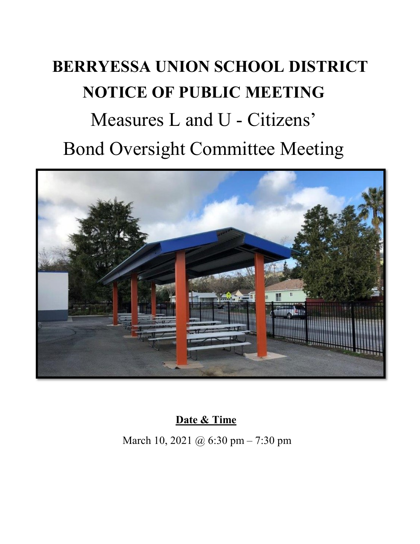## **BERRYESSA UNION SCHOOL DISTRICT NOTICE OF PUBLIC MEETING** Measures L and U - Citizens' Bond Oversight Committee Meeting



**Date & Time** 

March 10, 2021 @ 6:30 pm – 7:30 pm